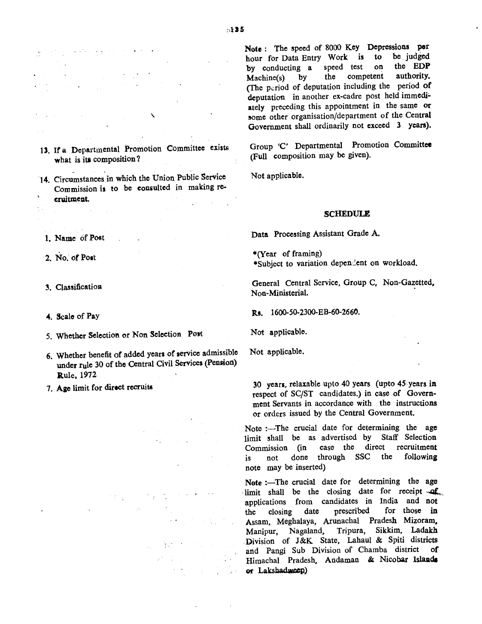13. If a Departmental Promotion Committee exists what is its composition?

 $\frac{1}{2}$  and  $\frac{1}{2}$  . The set of  $\frac{1}{2}$ 14.Circumstanees in which the Union Public Service Commission is to be eonsulted in making recruitment.

- 1. Name of Post
- 2. No. of Post
- 3. Classification
- 4. Scale of Pay
- 5. Whether Selection or Non Selection Post
- 6. Whether benefit of added years of service admissible under rule 30 of the central Civil Services (Pension) **Rule, 1972**
- 7. Age limit for direct recruits

Note: The speed of 8000 Key Depressions por<br>hour for Data Entry Work is to be judged hour for Data Entry Work is to be judged by conducting a speed test on the  $\frac{1}{2}$ Machine(s) by the competent authority.<br>(The period of deputation including the period of deputation in another ex-cadre post held immediately preceding this appointment in the same or some other organisation/department of the Central Ome other organisation/department or the Central Government shall ordinarily not exceed 3 years).

Group 'C' Departmental Promotion Committee (Full composition may be given).

Not applicable.

## **SCHEDULE**

Data Processing Assistant Grade A.

·(Year of framing) \*Subject to variation dependent on workload.

General Central Service, Group C, Non-Gazetted, Non-Ministerial.

Rs. 1600-50-2300-EB-60-2660.

Not applicable.

Not applicable.

30 years, relaxable upto 40 years (upto 45 years in respect of *SC*/*ST* candidates.) in case of Government Servants in accordance with the instructions or orders issued by the Central Government.

Note :- The crucial date for determining the age limit shall be as advertised by Staff Selection Commission (in case the direct recruitment is not done through SSC the following note may be inserted)

Note :- The crucial date for determining the age limit shall be the closing date for receipt $\leftarrow$ applications from candidates in India and not the closing date prescribed for those in Assam, Meghalaya, Arunachal Pradesh Mizoram, Manipur, Nagaland, Tripura, Sikkim, Ladakh Division of J&K State, Lahaul & Spiti districts and Pangi Sub Division of Chamba district of Himachal Pradesh, Andaman & Nicobar Islands or Lakshadweep)